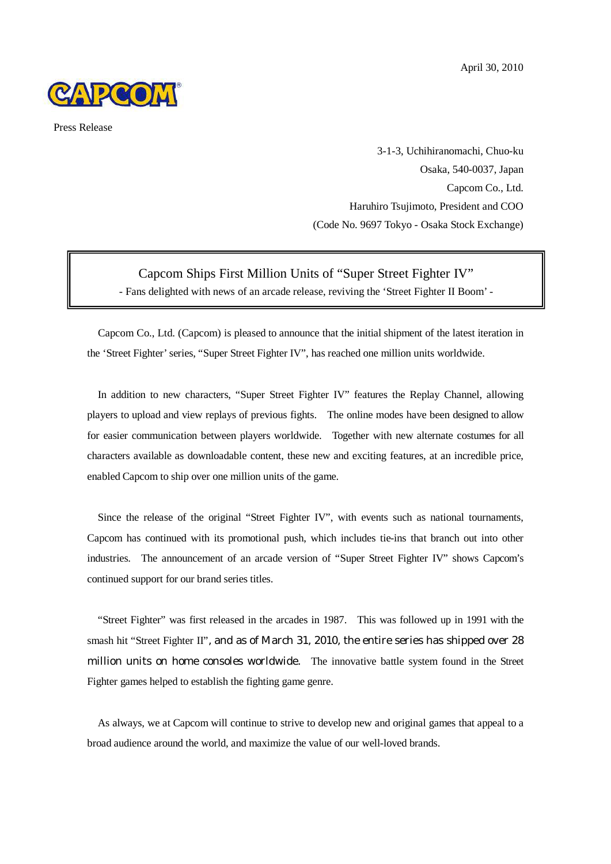

Press Release

3-1-3, Uchihiranomachi, Chuo-ku Osaka, 540-0037, Japan Capcom Co., Ltd. Haruhiro Tsujimoto, President and COO (Code No. 9697 Tokyo - Osaka Stock Exchange)

## Capcom Ships First Million Units of "Super Street Fighter IV" - Fans delighted with news of an arcade release, reviving the 'Street Fighter II Boom' -

Capcom Co., Ltd. (Capcom) is pleased to announce that the initial shipment of the latest iteration in the 'Street Fighter'series, "Super Street Fighter IV", has reached one million units worldwide.

In addition to new characters, "Super Street Fighter IV" features the Replay Channel, allowing players to upload and view replays of previous fights. The online modes have been designed to allow for easier communication between players worldwide. Together with new alternate costumes for all characters available as downloadable content, these new and exciting features, at an incredible price, enabled Capcom to ship over one million units of the game.

Since the release of the original "Street Fighter IV", with events such as national tournaments, Capcom has continued with its promotional push, which includes tie-ins that branch out into other industries. The announcement of an arcade version of "Super Street Fighter IV" shows Capcom's continued support for our brand series titles.

"Street Fighter" was first released in the arcades in 1987. This was followed up in 1991 with the smash hit "Street Fighter II", and as of March 31, 2010, the entire series has shipped over 28 million units on home consoles worldwide. The innovative battle system found in the Street Fighter games helped to establish the fighting game genre.

As always, we at Capcom will continue to strive to develop new and original games that appeal to a broad audience around the world, and maximize the value of our well-loved brands.